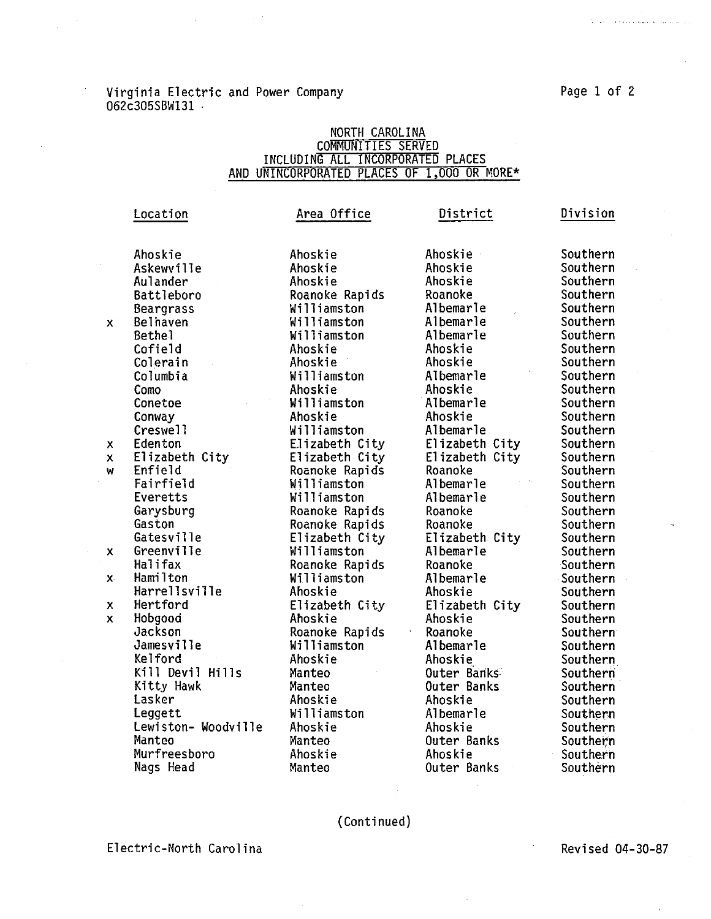is a series maission and

## Virginia Electric and Power Company **Page 1** of 2 062c305SBW131 ·

## NORTH CAROLINA<br>COMMUNITIES SERVED<br>AND UNINCORPORATED PLACES OF 1,000 OR MORE\*

|              | Location            | Area Office    | District       | Division |
|--------------|---------------------|----------------|----------------|----------|
|              |                     |                |                |          |
|              | Ahoskie             | Ahoskie        | Ahoskie        | Southern |
|              | Askewville          | Ahoskie        | Ahoskie        | Southern |
|              | Aulander            | Ahoskie        | Ahoskie        | Southern |
|              | Battleboro          | Roanoke Rapids | Roanoke        | Southern |
|              | Beargrass           | Williamston    | Albemarle      | Southern |
| X.           | <b>Belhaven</b>     | Williamston    | Albemarle      | Southern |
|              | <b>Bethel</b>       | Williamston    | Albemarle      | Southern |
|              | Cofield             | Ahoskie        | Ahoskie        | Southern |
|              | Colerain            | Ahoskie        | Ahoskie        | Southern |
|              | Columbia            | Williamston    | Albemarle      | Southern |
|              | Como                | Ahoskie        | Ahoskie        | Southern |
|              | Conetoe             | Williamston    | Albemarle      | Southern |
|              | Conway              | Ahoskie        | Ahoskie        | Southern |
|              | Creswell            | Williamston    | Albemarle      | Southern |
| x            | Edenton             | Elizabeth City | Elizabeth City | Southern |
| $\mathbf{x}$ | Elizabeth City      | Elizabeth City | Elizabeth City | Southern |
| W            | Enfield             | Roanoke Rapids | Roanoke        | Southern |
|              | Fairfield           | Williamston    | Albemarle      | Southern |
|              | Everetts            | Williamston    | Albemarle      | Southern |
|              | Garysburg           | Roanoke Rapids | Roanoke        | Southern |
|              | Gaston              | Roanoke Rapids | Roanoke        | Southern |
|              | Gatesville          | Elizabeth City | Elizabeth City | Southern |
| x            | Greenville          | Williamston    | Albemarle      | Southern |
|              | Halifax             | Roanoke Rapids | Roanoke        | Southern |
| χ.           | Hamilton            | Williamston    | Albemarle      | Southern |
|              | Harrellsville       | Ahoskie        | Ahoskie        | Southern |
| x            | Hertford            | Elizabeth City | Elizabeth City | Southern |
| X.           | Hobgood             | Ahoskie        | Ahoskie        | Southern |
|              | Jackson             | Roanoke Rapids | Roanoke        | Southern |
|              | Jamesville          | Williamston    | Albemarie      | Southern |
|              | Kelford             | Ahoskie        | Ahoskie        | Southern |
|              | Kill Devil Hills    | Manteo         | Outer Banks    | Southern |
|              | Kitty Hawk          | Manteo         | Outer Banks    | Southern |
|              | Lasker              | Ahoskie        | Ahoskie        | Southern |
|              | Leggett             | Williamston    | Albemarle      | Southern |
|              | Lewiston- Woodville | Ahoskie        | Ahoskie        | Southern |
|              | Manteo              | Manteo         | Outer Banks    | Southern |
|              | Murfreesboro        | Ahoskie        | Ahoskie        | Southern |
|              | Nags Head           | Manteo         | Outer Banks    | Southern |

## (Continued)

Electric-North Carolina

Revised 04-30-87